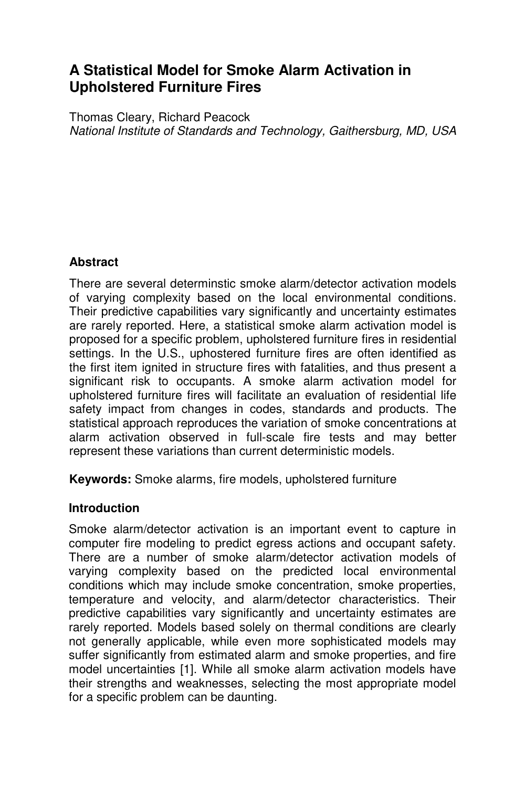# **A Statistical Model for Smoke Alarm Activation in Upholstered Furniture Fires**

Thomas Cleary, Richard Peacock *National Institute of Standards and Technology, Gaithersburg, MD, USA*

## **Abstract**

There are several determinstic smoke alarm/detector activation models of varying complexity based on the local environmental conditions. Their predictive capabilities vary significantly and uncertainty estimates are rarely reported. Here, a statistical smoke alarm activation model is proposed for a specific problem, upholstered furniture fires in residential settings. In the U.S., uphostered furniture fires are often identified as the first item ignited in structure fires with fatalities, and thus present a significant risk to occupants. A smoke alarm activation model for upholstered furniture fires will facilitate an evaluation of residential life safety impact from changes in codes, standards and products. The statistical approach reproduces the variation of smoke concentrations at alarm activation observed in full-scale fire tests and may better represent these variations than current deterministic models.

**Keywords:** Smoke alarms, fire models, upholstered furniture

#### **Introduction**

Smoke alarm/detector activation is an important event to capture in computer fire modeling to predict egress actions and occupant safety. There are a number of smoke alarm/detector activation models of varying complexity based on the predicted local environmental conditions which may include smoke concentration, smoke properties, temperature and velocity, and alarm/detector characteristics. Their predictive capabilities vary significantly and uncertainty estimates are rarely reported. Models based solely on thermal conditions are clearly not generally applicable, while even more sophisticated models may suffer significantly from estimated alarm and smoke properties, and fire model uncertainties [1]. While all smoke alarm activation models have their strengths and weaknesses, selecting the most appropriate model for a specific problem can be daunting.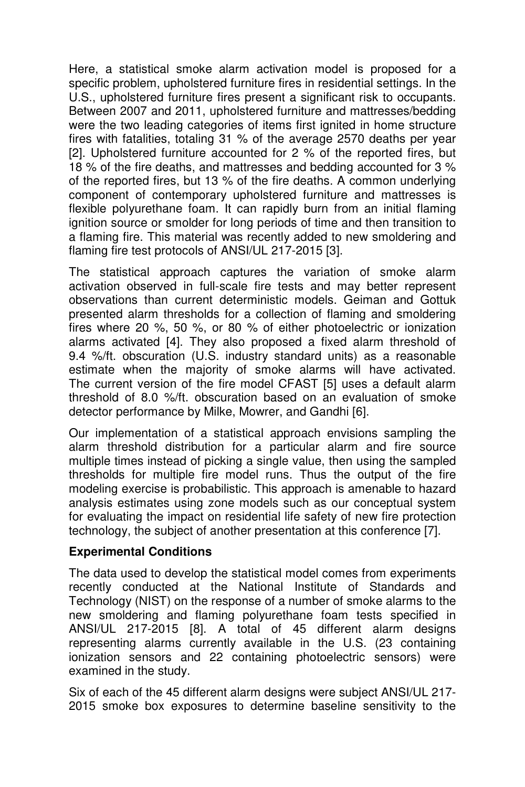Here, a statistical smoke alarm activation model is proposed for a specific problem, upholstered furniture fires in residential settings. In the U.S., upholstered furniture fires present a significant risk to occupants. Between 2007 and 2011, upholstered furniture and mattresses/bedding were the two leading categories of items first ignited in home structure fires with fatalities, totaling 31 % of the average 2570 deaths per year [2]. Upholstered furniture accounted for 2 % of the reported fires, but 18 % of the fire deaths, and mattresses and bedding accounted for 3 % of the reported fires, but 13 % of the fire deaths. A common underlying component of contemporary upholstered furniture and mattresses is flexible polyurethane foam. It can rapidly burn from an initial flaming ignition source or smolder for long periods of time and then transition to a flaming fire. This material was recently added to new smoldering and flaming fire test protocols of ANSI/UL 217-2015 [3].

The statistical approach captures the variation of smoke alarm activation observed in full-scale fire tests and may better represent observations than current deterministic models. Geiman and Gottuk presented alarm thresholds for a collection of flaming and smoldering fires where 20 %, 50 %, or 80 % of either photoelectric or ionization alarms activated [4]. They also proposed a fixed alarm threshold of 9.4 %/ft. obscuration (U.S. industry standard units) as a reasonable estimate when the majority of smoke alarms will have activated. The current version of the fire model CFAST [5] uses a default alarm threshold of 8.0 %/ft. obscuration based on an evaluation of smoke detector performance by Milke, Mowrer, and Gandhi [6].

Our implementation of a statistical approach envisions sampling the alarm threshold distribution for a particular alarm and fire source multiple times instead of picking a single value, then using the sampled thresholds for multiple fire model runs. Thus the output of the fire modeling exercise is probabilistic. This approach is amenable to hazard analysis estimates using zone models such as our conceptual system for evaluating the impact on residential life safety of new fire protection technology, the subject of another presentation at this conference [7].

#### **Experimental Conditions**

The data used to develop the statistical model comes from experiments recently conducted at the National Institute of Standards and Technology (NIST) on the response of a number of smoke alarms to the new smoldering and flaming polyurethane foam tests specified in ANSI/UL 217-2015 [8]. A total of 45 different alarm designs representing alarms currently available in the U.S. (23 containing ionization sensors and 22 containing photoelectric sensors) were examined in the study.

Six of each of the 45 different alarm designs were subject ANSI/UL 217- 2015 smoke box exposures to determine baseline sensitivity to the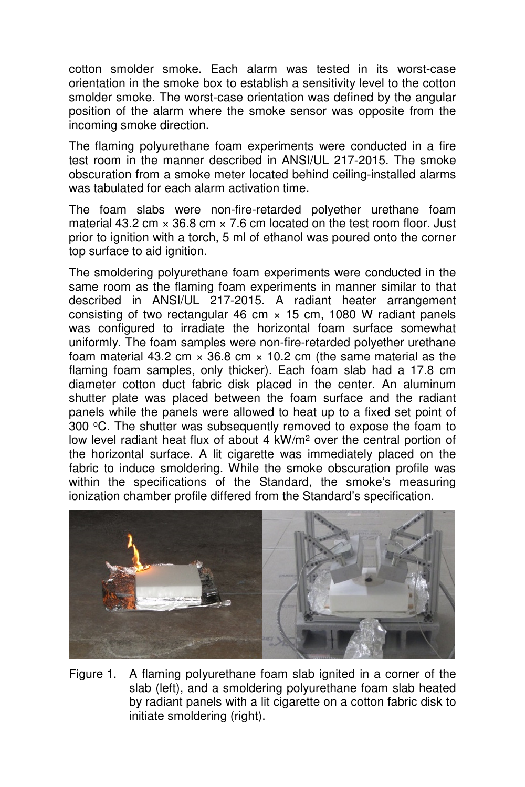cotton smolder smoke. Each alarm was tested in its worst-case orientation in the smoke box to establish a sensitivity level to the cotton smolder smoke. The worst-case orientation was defined by the angular position of the alarm where the smoke sensor was opposite from the incoming smoke direction.

The flaming polyurethane foam experiments were conducted in a fire test room in the manner described in ANSI/UL 217-2015. The smoke obscuration from a smoke meter located behind ceiling-installed alarms was tabulated for each alarm activation time.

The foam slabs were non-fire-retarded polyether urethane foam material 43.2 cm  $\times$  36.8 cm  $\times$  7.6 cm located on the test room floor. Just prior to ignition with a torch, 5 ml of ethanol was poured onto the corner top surface to aid ignition.

The smoldering polyurethane foam experiments were conducted in the same room as the flaming foam experiments in manner similar to that described in ANSI/UL 217-2015. A radiant heater arrangement consisting of two rectangular 46 cm  $\times$  15 cm, 1080 W radiant panels was configured to irradiate the horizontal foam surface somewhat uniformly. The foam samples were non-fire-retarded polyether urethane foam material 43.2 cm  $\times$  36.8 cm  $\times$  10.2 cm (the same material as the flaming foam samples, only thicker). Each foam slab had a 17.8 cm diameter cotton duct fabric disk placed in the center. An aluminum shutter plate was placed between the foam surface and the radiant panels while the panels were allowed to heat up to a fixed set point of 300  $\degree$ C. The shutter was subsequently removed to expose the foam to low level radiant heat flux of about 4 kW/m<sup>2</sup> over the central portion of the horizontal surface. A lit cigarette was immediately placed on the fabric to induce smoldering. While the smoke obscuration profile was within the specifications of the Standard, the smoke's measuring ionization chamber profile differed from the Standard's specification.



Figure 1. A flaming polyurethane foam slab ignited in a corner of the slab (left), and a smoldering polyurethane foam slab heated by radiant panels with a lit cigarette on a cotton fabric disk to initiate smoldering (right).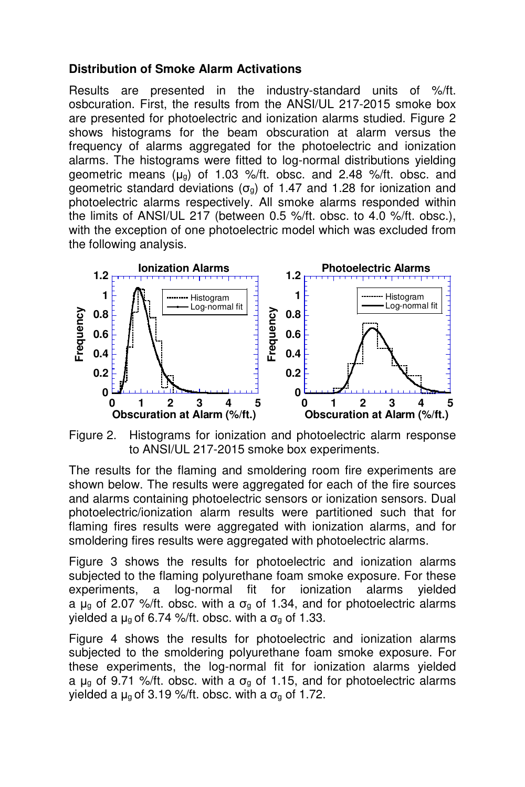#### **Distribution of Smoke Alarm Activations**

Results are presented in the industry-standard units of %/ft. osbcuration. First, the results from the ANSI/UL 217-2015 smoke box are presented for photoelectric and ionization alarms studied. Figure 2 shows histograms for the beam obscuration at alarm versus the frequency of alarms aggregated for the photoelectric and ionization alarms. The histograms were fitted to log-normal distributions yielding geometric means  $(\mu_q)$  of 1.03 %/ft. obsc. and 2.48 %/ft. obsc. and geometric standard deviations ( $\sigma_{g}$ ) of 1.47 and 1.28 for ionization and photoelectric alarms respectively. All smoke alarms responded within the limits of ANSI/UL 217 (between 0.5 %/ft. obsc. to 4.0 %/ft. obsc.), with the exception of one photoelectric model which was excluded from the following analysis.



Figure 2. Histograms for ionization and photoelectric alarm response to ANSI/UL 217-2015 smoke box experiments.

The results for the flaming and smoldering room fire experiments are shown below. The results were aggregated for each of the fire sources and alarms containing photoelectric sensors or ionization sensors. Dual photoelectric/ionization alarm results were partitioned such that for flaming fires results were aggregated with ionization alarms, and for smoldering fires results were aggregated with photoelectric alarms.

Figure 3 shows the results for photoelectric and ionization alarms subjected to the flaming polyurethane foam smoke exposure. For these experiments, a log-normal fit for ionization alarms yielded a  $\mu_{q}$  of 2.07 %/ft. obsc. with a  $\sigma_{q}$  of 1.34, and for photoelectric alarms yielded a  $\mu$ g of 6.74 %/ft. obsc. with a  $\sigma$ g of 1.33.

Figure 4 shows the results for photoelectric and ionization alarms subjected to the smoldering polyurethane foam smoke exposure. For these experiments, the log-normal fit for ionization alarms yielded a  $\mu_q$  of 9.71 %/ft. obsc. with a  $\sigma_q$  of 1.15, and for photoelectric alarms yielded a  $\mu_q$  of 3.19 %/ft. obsc. with a  $\sigma_q$  of 1.72.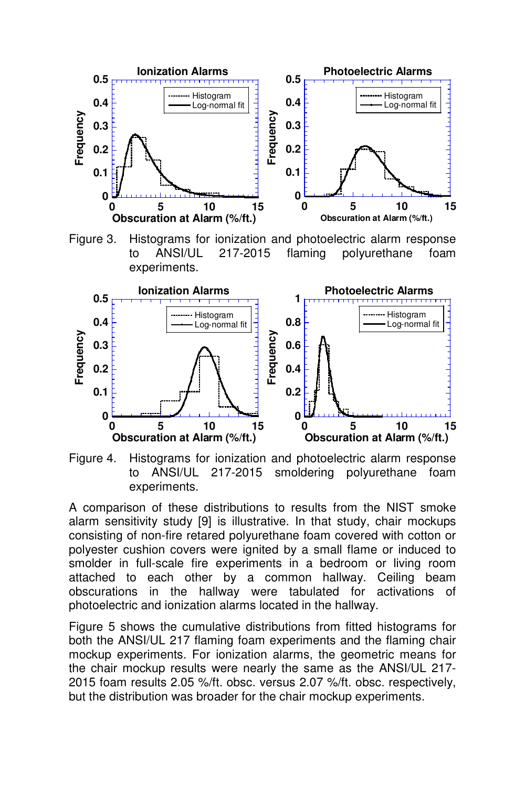

Figure 3. Histograms for ionization and photoelectric alarm response to ANSI/UL 217-2015 flaming polyurethane foam experiments.



Figure 4. Histograms for ionization and photoelectric alarm response to ANSI/UL 217-2015 smoldering polyurethane foam experiments.

A comparison of these distributions to results from the NIST smoke alarm sensitivity study [9] is illustrative. In that study, chair mockups consisting of non-fire retared polyurethane foam covered with cotton or polyester cushion covers were ignited by a small flame or induced to smolder in full-scale fire experiments in a bedroom or living room attached to each other by a common hallway. Ceiling beam obscurations in the hallway were tabulated for activations of photoelectric and ionization alarms located in the hallway.

Figure 5 shows the cumulative distributions from fitted histograms for both the ANSI/UL 217 flaming foam experiments and the flaming chair mockup experiments. For ionization alarms, the geometric means for the chair mockup results were nearly the same as the ANSI/UL 217- 2015 foam results 2.05 %/ft. obsc. versus 2.07 %/ft. obsc. respectively, but the distribution was broader for the chair mockup experiments.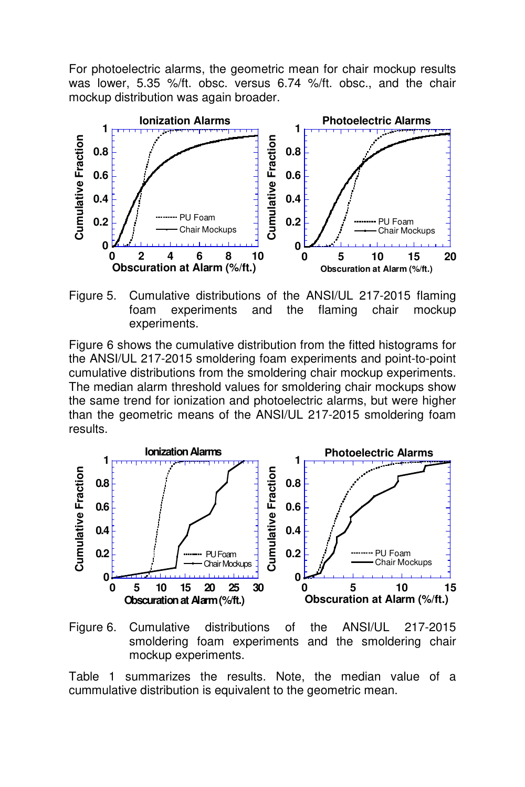For photoelectric alarms, the geometric mean for chair mockup results was lower, 5.35 %/ft. obsc. versus 6.74 %/ft. obsc., and the chair mockup distribution was again broader.



Figure 5. Cumulative distributions of the ANSI/UL 217-2015 flaming foam experiments and the flaming chair mockup experiments.

Figure 6 shows the cumulative distribution from the fitted histograms for the ANSI/UL 217-2015 smoldering foam experiments and point-to-point cumulative distributions from the smoldering chair mockup experiments. The median alarm threshold values for smoldering chair mockups show the same trend for ionization and photoelectric alarms, but were higher than the geometric means of the ANSI/UL 217-2015 smoldering foam results.





Table 1 summarizes the results. Note, the median value of a cummulative distribution is equivalent to the geometric mean.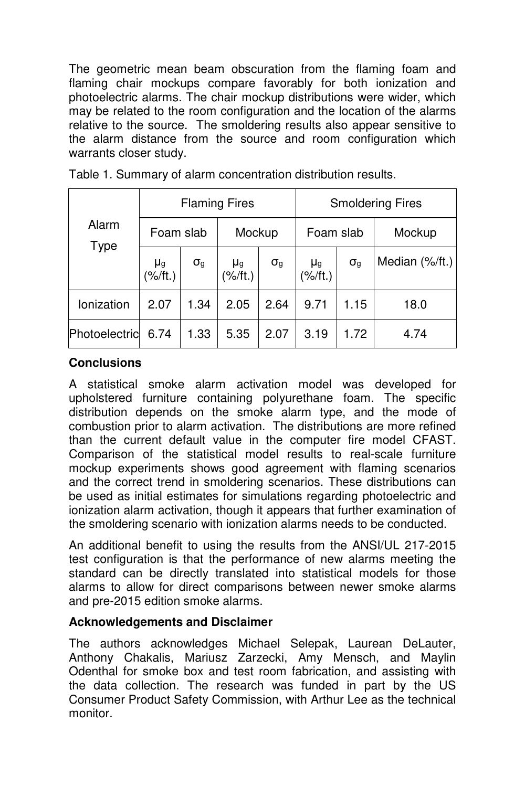The geometric mean beam obscuration from the flaming foam and flaming chair mockups compare favorably for both ionization and photoelectric alarms. The chair mockup distributions were wider, which may be related to the room configuration and the location of the alarms relative to the source. The smoldering results also appear sensitive to the alarm distance from the source and room configuration which warrants closer study.

| Alarm<br><b>Type</b> | <b>Flaming Fires</b>      |              |                 |                     | <b>Smoldering Fires</b>   |              |                |
|----------------------|---------------------------|--------------|-----------------|---------------------|---------------------------|--------------|----------------|
|                      | Foam slab                 |              | Mockup          |                     | Foam slab                 |              | Mockup         |
|                      | μ <sub>g</sub><br>(%/ft.) | $\sigma_{g}$ | μg<br>(% / ft.) | $\sigma_{\text{g}}$ | µ <sub>g</sub><br>(1t.)%) | $\sigma_{g}$ | Median (%/ft.) |
| Ionization           | 2.07                      | 1.34         | 2.05            | 2.64                | 9.71                      | 1.15         | 18.0           |
| Photoelectric        | 6.74                      | 1.33         | 5.35            | 2.07                | 3.19                      | 1.72         | 4.74           |

Table 1. Summary of alarm concentration distribution results.

### **Conclusions**

A statistical smoke alarm activation model was developed for upholstered furniture containing polyurethane foam. The specific distribution depends on the smoke alarm type, and the mode of combustion prior to alarm activation. The distributions are more refined than the current default value in the computer fire model CFAST. Comparison of the statistical model results to real-scale furniture mockup experiments shows good agreement with flaming scenarios and the correct trend in smoldering scenarios. These distributions can be used as initial estimates for simulations regarding photoelectric and ionization alarm activation, though it appears that further examination of the smoldering scenario with ionization alarms needs to be conducted.

An additional benefit to using the results from the ANSI/UL 217-2015 test configuration is that the performance of new alarms meeting the standard can be directly translated into statistical models for those alarms to allow for direct comparisons between newer smoke alarms and pre-2015 edition smoke alarms.

## **Acknowledgements and Disclaimer**

The authors acknowledges Michael Selepak, Laurean DeLauter, Anthony Chakalis, Mariusz Zarzecki, Amy Mensch, and Maylin Odenthal for smoke box and test room fabrication, and assisting with the data collection. The research was funded in part by the US Consumer Product Safety Commission, with Arthur Lee as the technical monitor.